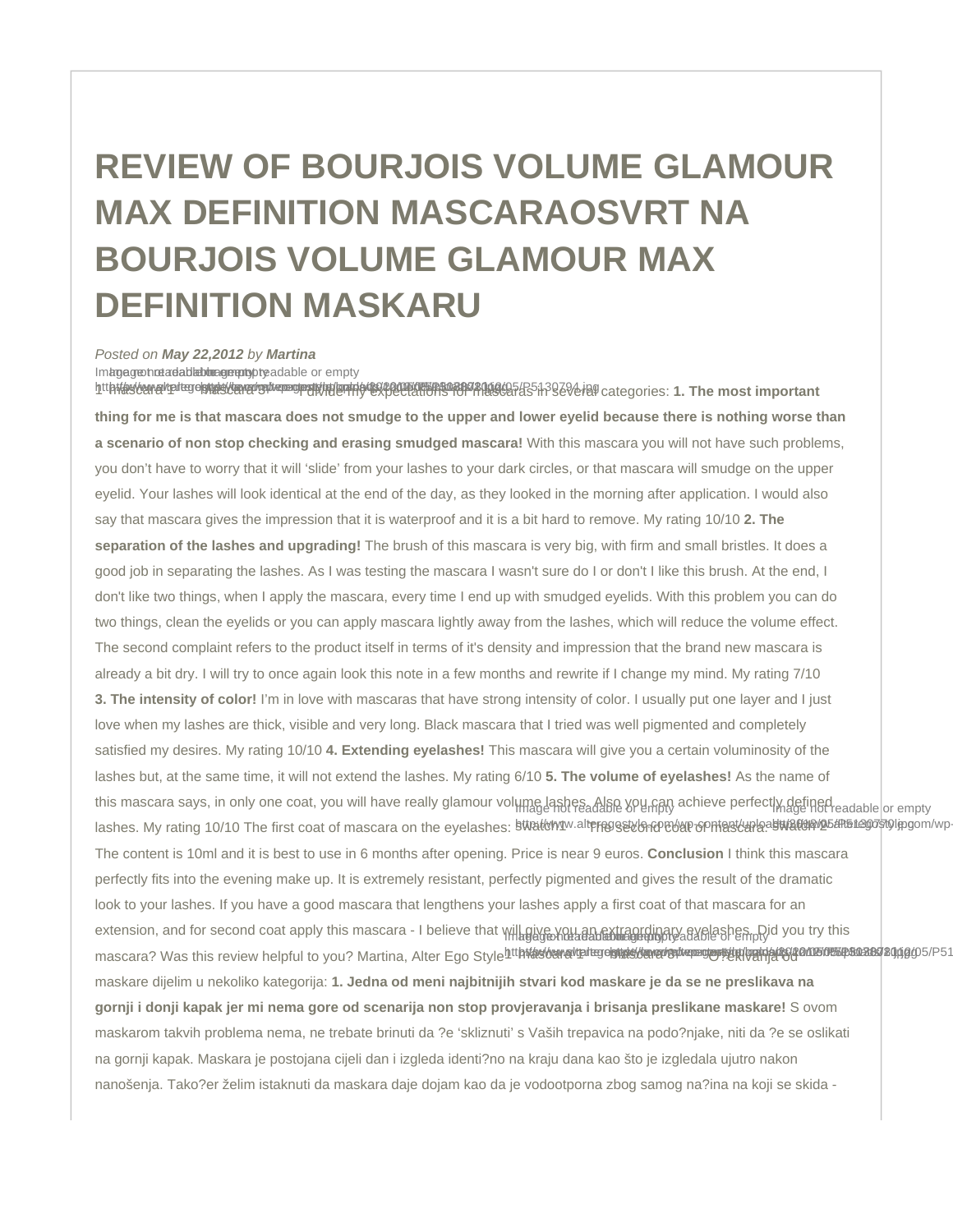## REVIEW OF BOURJOIS VOLUME GLAMOUR MAX DEFINITION MASCARA OSVRT NA BOURJOIS VOLUME GLAMOUR MAX DEFINITION MASKARU

## Posted on May 22,2012 by Martina

Image greends added the operation of readable or empty

[htt](http://www.alteregostyle.com/wp-content/uploads/2012/05/P51307801.jpg)**hthe benevalted stude by a construct the construction of the construction of the second students of the categories: 1. The most important** thing for me is that mascara does not smudge to the upper and lower eyelid because there is nothing worse than a scenario of non stop checking and erasing smudged mascara! With this mascara you will not have such problems, you don't have to worry that it will 'slide' from your lashes to your dark circles, or that mascara will smudge on the upper eyelid. Your lashes will look identical at the end of the day, as they looked in the morning after application. I would also say that mascara gives the impression that it is waterproof and it is a bit hard to remove. My rating 10/10 2. The separation of the lashes and upgrading! The brush of this mascara is very big, with firm and small bristles. It does a good job in separating the lashes. As I was testing the mascara I wasn't sure do I or don't I like this brush. At the end, I don't like two things, when I apply the mascara, every time I end up with smudged eyelids. With this problem you can do two things, clean the eyelids or you can apply mascara lightly away from the lashes, which will reduce the volume effect. The second complaint refers to the product itself in terms of it's density and impression that the brand new mascara is already a bit dry. I will try to once again look this note in a few months and rewrite if I change my mind. My rating 7/10 3. The intensity of color! I'm in love with mascaras that have strong intensity of color. I usually put one layer and I just love when my lashes are thick, visible and very long. Black mascara that I tried was well pigmented and completely satisfied my desires. My rating 10/10 4. Extending eyelashes! This mascara will give you a certain voluminosity of the lashes but, at the same time, it will not extend the lashes. My rating 6/10 5. The volume of eyelashes! As the name of this mascara says, in only one coat, you will have really glamour volume lashes. Also you can achieve perfectly defined lashes. My rating 10/10 The first coat of mascara on the eyelashes: <sup>§ttrat</sup>orm<sup>u.alt</sup>eregsaton@eyen opmascara.asttraft@pyb5aR51@gom/wp-The content is 10ml and it is best to use in 6 months after opening. Price is near 9 euros. Conclusion I think this mascara perfectly fits into the evening make up. It is extremely resistant, perfectly pigmented and gives the result of the dramatic look to your lashes. If you have a good mascara that lengthens your lashes apply a first coat of that mascara for an extension, and for second coat apply this mascara - I believe that will give you an extraordinary eyelashes. Did you try this mascara? Was this review helpful to you? Martina, Alter Ego Style<sup>[htt](http://www.alteregostyle.com/wp-content/uploads/2012/05/P51307801.jpg)htoatohanaytatege http://www.com/tww.com/tww.com/tww.com/tww.com/tww.com/tww.com/tww.com/tww.com/tww.com/tww.com/tww.com/tww.com/tww.com/tww.com/tww.com/</sup> maskare dijelim u nekoliko kategorija: 1. Jedna od meni najbitnijih stvari kod maskare je da se ne preslikava na gornji i donji kapak jer mi nema gore od scenarija non stop provjeravanja i brisanja preslikane maskare! S ovom maskarom takvih problema nema, ne trebate brinuti da ?e 'skliznuti' s Vaših trepavica na podo?njake, niti da ?e se oslikati na gornji kapak. Maskara je postojana cijeli dan i izgleda identi?no na kraju dana kao što je izgledala ujutro nakon nanošenja. Tako?er želim istaknuti da maskara daje dojam kao da je vodootporna zbog samog na?ina na koji se skida -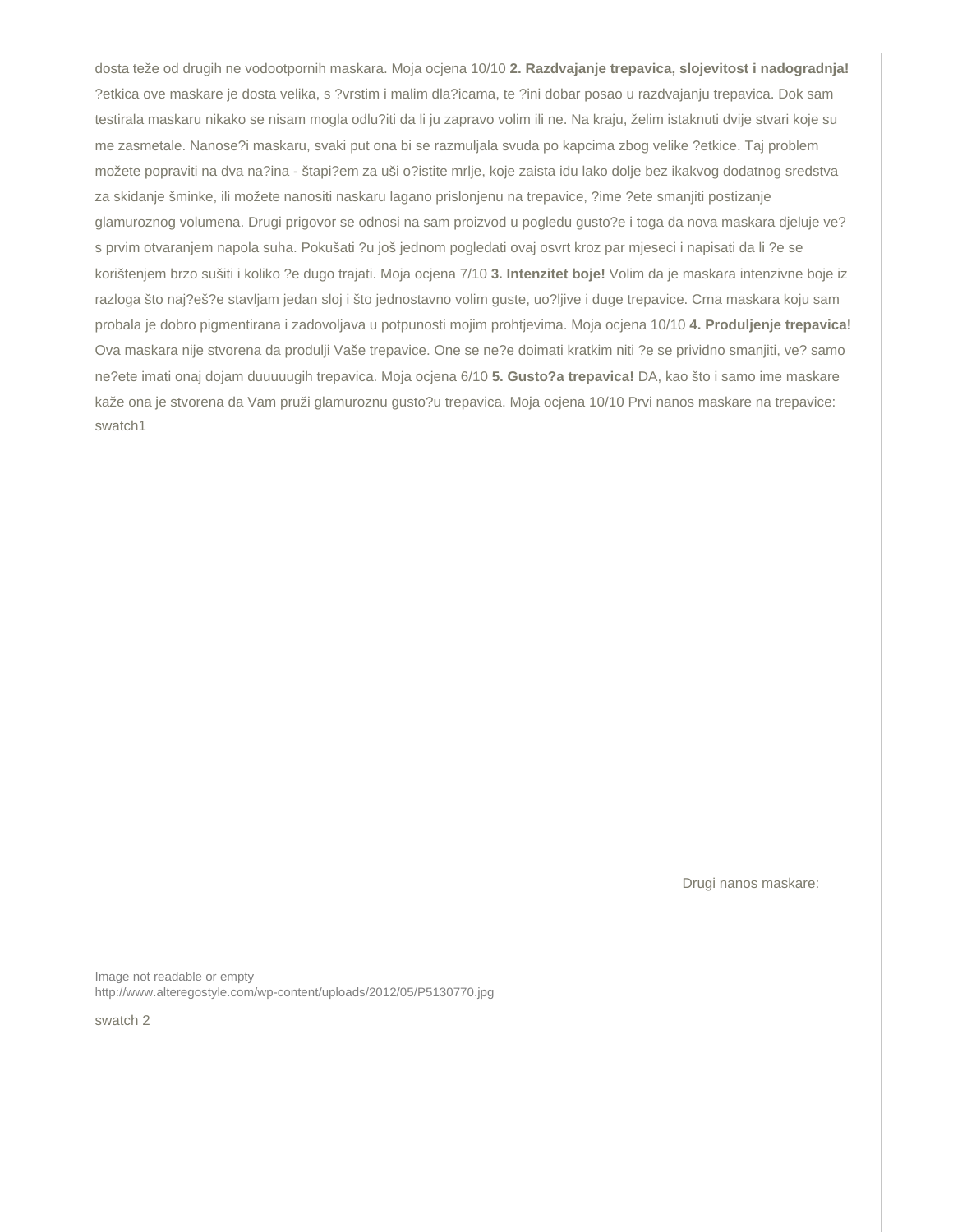dosta teže od drugih ne vodootpornih maskara. Moja ocjena 10/10 2. Razdvajanje trepavica, slojevitost i nadogradnja! ?etkica ove maskare je dosta velika, s ?vrstim i malim dla?icama, te ?ini dobar posao u razdvajanju trepavica. Dok sam testirala maskaru nikako se nisam mogla odlu?iti da li ju zapravo volim ili ne. Na kraju, želim istaknuti dvije stvari koje su me zasmetale. Nanose?i maskaru, svaki put ona bi se razmuljala svuda po kapcima zbog velike ?etkice. Taj problem možete popraviti na dva na?ina - štapi?em za uši o?istite mrlje, koje zaista idu lako dolje bez ikakvog dodatnog sredstva za skidanje šminke, ili možete nanositi naskaru lagano prislonjenu na trepavice, ?ime ?ete smanjiti postizanje glamuroznog volumena. Drugi prigovor se odnosi na sam proizvod u pogledu gusto?e i toga da nova maskara djeluje ve? s prvim otvaranjem napola suha. Pokušati ?u još jednom pogledati ovaj osvrt kroz par mjeseci i napisati da li ?e se korištenjem brzo sušiti i koliko ?e dugo trajati. Moja ocjena 7/10 3. Intenzitet boje! Volim da je maskara intenzivne boje iz razloga što naj?eš?e stavljam jedan sloj i što jednostavno volim guste, uo?ljive i duge trepavice. Crna maskara koju sam probala je dobro pigmentirana i zadovoljava u potpunosti mojim prohtjevima. Moja ocjena 10/10 4. Produljenje trepavica! Ova maskara nije stvorena da produlji Vaše trepavice. One se ne?e doimati kratkim niti ?e se prividno smanjiti, ve? samo ne?ete imati onaj dojam duuuuugih trepavica. Moja ocjena 6/10 5. Gusto?a trepavica! DA, kao što i samo ime maskare kaže ona je stvorena da Vam pruži glamuroznu gusto?u trepavica. Moja ocjena 10/10 Prvi nanos maskare na trepavice: swatch1

Drugi nanos maskare:

Image not readable or empty <http://www.alteregostyle.com/wp-content/uploads/2012/05/P5130770.jpg>

swatch 2